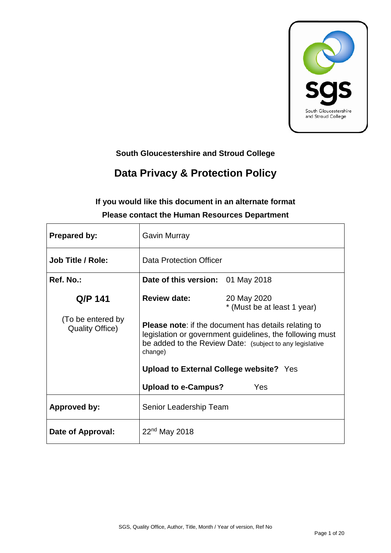

## **South Gloucestershire and Stroud College**

# **Data Privacy & Protection Policy**

# **If you would like this document in an alternate format Please contact the Human Resources Department**

| <b>Prepared by:</b>                         | Gavin Murray                                                                                                                                                                                   |                                            |  |
|---------------------------------------------|------------------------------------------------------------------------------------------------------------------------------------------------------------------------------------------------|--------------------------------------------|--|
| <b>Job Title / Role:</b>                    | <b>Data Protection Officer</b>                                                                                                                                                                 |                                            |  |
| Ref. No.:                                   | Date of this version: 01 May 2018                                                                                                                                                              |                                            |  |
| Q/P 141                                     | <b>Review date:</b>                                                                                                                                                                            | 20 May 2020<br>* (Must be at least 1 year) |  |
| (To be entered by<br><b>Quality Office)</b> | <b>Please note:</b> if the document has details relating to<br>legislation or government guidelines, the following must<br>be added to the Review Date: (subject to any legislative<br>change) |                                            |  |
|                                             | Upload to External College website? Yes                                                                                                                                                        |                                            |  |
|                                             | <b>Upload to e-Campus?</b>                                                                                                                                                                     | Yes                                        |  |
| <b>Approved by:</b>                         | Senior Leadership Team                                                                                                                                                                         |                                            |  |
| Date of Approval:                           | $22nd$ May 2018                                                                                                                                                                                |                                            |  |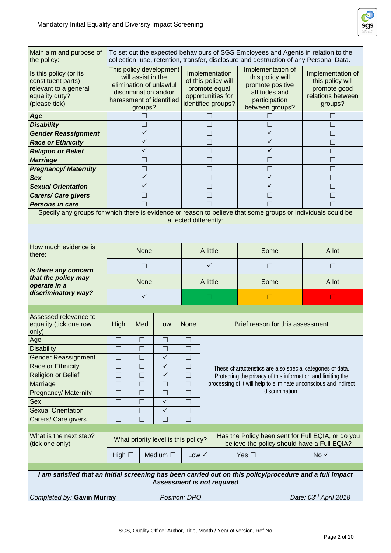

| Main aim and purpose of<br>the policy:                                                                       | To set out the expected behaviours of SGS Employees and Agents in relation to the<br>collection, use, retention, transfer, disclosure and destruction of any Personal Data. |              |                                                                                                   |                       |                                                                                                                |              |                                                                                       |                 |                                                                  |
|--------------------------------------------------------------------------------------------------------------|-----------------------------------------------------------------------------------------------------------------------------------------------------------------------------|--------------|---------------------------------------------------------------------------------------------------|-----------------------|----------------------------------------------------------------------------------------------------------------|--------------|---------------------------------------------------------------------------------------|-----------------|------------------------------------------------------------------|
| Is this policy (or its<br>constituent parts)<br>relevant to a general<br>equality duty?<br>(please tick)     | This policy development<br>will assist in the<br>elimination of unlawful<br>discrimination and/or<br>harassment of identified<br>groups?                                    |              | Implementation<br>of this policy will<br>promote equal<br>opportunities for<br>identified groups? |                       | Implementation of<br>this policy will<br>promote positive<br>attitudes and<br>participation<br>between groups? |              | Implementation of<br>this policy will<br>promote good<br>relations between<br>groups? |                 |                                                                  |
| Age                                                                                                          |                                                                                                                                                                             | $\mathbf{I}$ |                                                                                                   |                       | П                                                                                                              |              |                                                                                       |                 | $\mathsf{L}$                                                     |
| <b>Disability</b>                                                                                            |                                                                                                                                                                             | П            |                                                                                                   |                       | $\Box$                                                                                                         |              | $\Box$                                                                                |                 | $\vert \ \ \vert$                                                |
| <b>Gender Reassignment</b>                                                                                   | $\checkmark$                                                                                                                                                                |              |                                                                                                   | $\Box$                |                                                                                                                | $\checkmark$ |                                                                                       | П               |                                                                  |
| <b>Race or Ethnicity</b>                                                                                     | $\checkmark$                                                                                                                                                                |              |                                                                                                   | П                     |                                                                                                                | $\checkmark$ |                                                                                       |                 |                                                                  |
| <b>Religion or Belief</b>                                                                                    |                                                                                                                                                                             | ✓            |                                                                                                   |                       | $\Box$                                                                                                         |              | ✓                                                                                     |                 | $\vert \ \ \vert$                                                |
| <b>Marriage</b>                                                                                              |                                                                                                                                                                             |              |                                                                                                   |                       | П                                                                                                              |              |                                                                                       |                 |                                                                  |
| <b>Pregnancy/Maternity</b>                                                                                   |                                                                                                                                                                             | П            |                                                                                                   |                       | $\Box$                                                                                                         |              | $\Box$                                                                                |                 | П                                                                |
| <b>Sex</b>                                                                                                   |                                                                                                                                                                             | $\checkmark$ |                                                                                                   |                       | П                                                                                                              |              | $\checkmark$                                                                          |                 |                                                                  |
| <b>Sexual Orientation</b>                                                                                    |                                                                                                                                                                             | $\checkmark$ |                                                                                                   |                       | $\Box$                                                                                                         |              | $\checkmark$                                                                          |                 | $\mathsf{L}$                                                     |
| <b>Carers/ Care givers</b>                                                                                   |                                                                                                                                                                             | П            |                                                                                                   |                       | $\Box$                                                                                                         |              | $\Box$                                                                                |                 |                                                                  |
| <b>Persons in care</b>                                                                                       |                                                                                                                                                                             |              |                                                                                                   |                       | $\Box$                                                                                                         |              | П                                                                                     |                 |                                                                  |
| Specify any groups for which there is evidence or reason to believe that some groups or individuals could be |                                                                                                                                                                             |              |                                                                                                   |                       |                                                                                                                |              |                                                                                       |                 |                                                                  |
|                                                                                                              |                                                                                                                                                                             |              |                                                                                                   | affected differently: |                                                                                                                |              |                                                                                       |                 |                                                                  |
|                                                                                                              |                                                                                                                                                                             |              |                                                                                                   |                       |                                                                                                                |              |                                                                                       |                 |                                                                  |
| How much evidence is<br>there:                                                                               | None                                                                                                                                                                        |              | A little                                                                                          |                       | Some                                                                                                           |              | A lot                                                                                 |                 |                                                                  |
| Is there any concern                                                                                         |                                                                                                                                                                             | П            |                                                                                                   |                       | ✓                                                                                                              |              | П                                                                                     |                 | $\Box$                                                           |
| that the policy may<br>operate in a                                                                          | None                                                                                                                                                                        |              |                                                                                                   | A little              |                                                                                                                | Some         |                                                                                       | A lot           |                                                                  |
| discriminatory way?                                                                                          |                                                                                                                                                                             | $\checkmark$ |                                                                                                   |                       | H                                                                                                              |              | $\Box$                                                                                |                 | □                                                                |
|                                                                                                              |                                                                                                                                                                             |              |                                                                                                   |                       |                                                                                                                |              |                                                                                       |                 |                                                                  |
| Assessed relevance to<br>equality (tick one row<br>only)                                                     | <b>High</b>                                                                                                                                                                 | Med          | Low                                                                                               | <b>None</b>           |                                                                                                                |              | Brief reason for this assessment                                                      |                 |                                                                  |
| Age                                                                                                          |                                                                                                                                                                             |              |                                                                                                   | Ш                     |                                                                                                                |              |                                                                                       |                 |                                                                  |
| <b>Disability</b>                                                                                            | $\Box$                                                                                                                                                                      | $\Box$       | $\Box$                                                                                            | $\Box$                |                                                                                                                |              |                                                                                       |                 |                                                                  |
| <b>Gender Reassignment</b>                                                                                   | $\Box$                                                                                                                                                                      | $\Box$       | $\checkmark$                                                                                      | $\Box$                |                                                                                                                |              |                                                                                       |                 |                                                                  |
| Race or Ethnicity                                                                                            | П                                                                                                                                                                           | П            | ✓                                                                                                 | $\Box$                |                                                                                                                |              |                                                                                       |                 | These characteristics are also special categories of data.       |
| Religion or Belief                                                                                           | $\Box$                                                                                                                                                                      | $\Box$       | ✓                                                                                                 | $\Box$                |                                                                                                                |              |                                                                                       |                 | Protecting the privacy of this information and limiting the      |
| Marriage                                                                                                     | $\Box$                                                                                                                                                                      | $\Box$       | Ш                                                                                                 | $\Box$                |                                                                                                                |              |                                                                                       |                 | processing of it will help to eliminate unconscious and indirect |
| <b>Pregnancy/ Maternity</b>                                                                                  | $\Box$                                                                                                                                                                      | П            | П                                                                                                 | $\Box$                |                                                                                                                |              |                                                                                       | discrimination. |                                                                  |
| Sex                                                                                                          | $\Box$                                                                                                                                                                      | П            | $\checkmark$                                                                                      | $\Box$                |                                                                                                                |              |                                                                                       |                 |                                                                  |
| <b>Sexual Orientation</b>                                                                                    | $\Box$                                                                                                                                                                      | $\Box$       | $\checkmark$                                                                                      | $\Box$                |                                                                                                                |              |                                                                                       |                 |                                                                  |
| Carers/ Care givers                                                                                          | $\Box$                                                                                                                                                                      | П            | П                                                                                                 | $\Box$                |                                                                                                                |              |                                                                                       |                 |                                                                  |
|                                                                                                              |                                                                                                                                                                             |              |                                                                                                   |                       |                                                                                                                |              |                                                                                       |                 |                                                                  |
| What is the next step?<br>(tick one only)                                                                    | Has the Policy been sent for Full EQIA, or do you<br>What priority level is this policy?<br>believe the policy should have a Full EQIA?                                     |              |                                                                                                   |                       |                                                                                                                |              |                                                                                       |                 |                                                                  |
|                                                                                                              | High $\Box$                                                                                                                                                                 |              | Medium $\square$                                                                                  | Low $\checkmark$      |                                                                                                                |              | Yes $\square$                                                                         |                 | No √                                                             |
|                                                                                                              |                                                                                                                                                                             |              |                                                                                                   |                       |                                                                                                                |              |                                                                                       |                 |                                                                  |
| I am satisfied that an initial screening has been carried out on this policy/procedure and a full Impact     |                                                                                                                                                                             |              | <b>Assessment is not required</b>                                                                 |                       |                                                                                                                |              |                                                                                       |                 |                                                                  |
|                                                                                                              | Completed by: Gavin Murray<br>Position: DPO<br>Date: 03rd April 2018                                                                                                        |              |                                                                                                   |                       |                                                                                                                |              |                                                                                       |                 |                                                                  |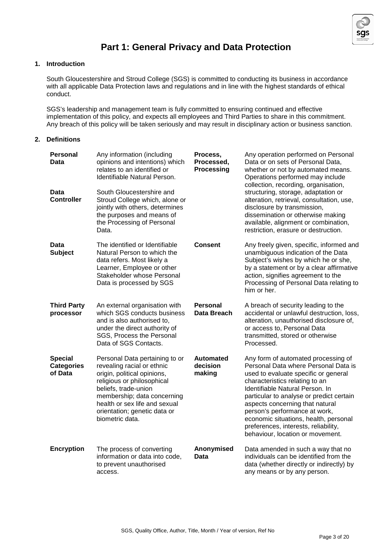

## **Part 1: General Privacy and Data Protection**

### **1. Introduction**

South Gloucestershire and Stroud College (SGS) is committed to conducting its business in accordance with all applicable Data Protection laws and regulations and in line with the highest standards of ethical conduct.

SGS's leadership and management team is fully committed to ensuring continued and effective implementation of this policy, and expects all employees and Third Parties to share in this commitment. Any breach of this policy will be taken seriously and may result in disciplinary action or business sanction.

#### **2. Definitions**

| <b>Personal</b><br>Data                        | Any information (including<br>opinions and intentions) which<br>relates to an identified or<br>Identifiable Natural Person.                                                                                                                                          | Process,<br>Processed,<br><b>Processing</b> | Any operation performed on Personal<br>Data or on sets of Personal Data,<br>whether or not by automated means.<br>Operations performed may include<br>collection, recording, organisation,                                                                                                                                                                                                                                    |
|------------------------------------------------|----------------------------------------------------------------------------------------------------------------------------------------------------------------------------------------------------------------------------------------------------------------------|---------------------------------------------|-------------------------------------------------------------------------------------------------------------------------------------------------------------------------------------------------------------------------------------------------------------------------------------------------------------------------------------------------------------------------------------------------------------------------------|
| Data<br><b>Controller</b>                      | South Gloucestershire and<br>Stroud College which, alone or<br>jointly with others, determines<br>the purposes and means of<br>the Processing of Personal<br>Data.                                                                                                   |                                             | structuring, storage, adaptation or<br>alteration, retrieval, consultation, use,<br>disclosure by transmission,<br>dissemination or otherwise making<br>available, alignment or combination,<br>restriction, erasure or destruction.                                                                                                                                                                                          |
| Data<br><b>Subject</b>                         | The identified or Identifiable<br>Natural Person to which the<br>data refers. Most likely a<br>Learner, Employee or other<br>Stakeholder whose Personal<br>Data is processed by SGS                                                                                  | Consent                                     | Any freely given, specific, informed and<br>unambiguous indication of the Data<br>Subject's wishes by which he or she,<br>by a statement or by a clear affirmative<br>action, signifies agreement to the<br>Processing of Personal Data relating to<br>him or her.                                                                                                                                                            |
| <b>Third Party</b><br>processor                | An external organisation with<br>which SGS conducts business<br>and is also authorised to.<br>under the direct authority of<br>SGS, Process the Personal<br>Data of SGS Contacts.                                                                                    | Personal<br>Data Breach                     | A breach of security leading to the<br>accidental or unlawful destruction, loss,<br>alteration, unauthorised disclosure of,<br>or access to, Personal Data<br>transmitted, stored or otherwise<br>Processed.                                                                                                                                                                                                                  |
| <b>Special</b><br><b>Categories</b><br>of Data | Personal Data pertaining to or<br>revealing racial or ethnic<br>origin, political opinions,<br>religious or philosophical<br>beliefs, trade-union<br>membership; data concerning<br>health or sex life and sexual<br>orientation; genetic data or<br>biometric data. | <b>Automated</b><br>decision<br>making      | Any form of automated processing of<br>Personal Data where Personal Data is<br>used to evaluate specific or general<br>characteristics relating to an<br>Identifiable Natural Person. In<br>particular to analyse or predict certain<br>aspects concerning that natural<br>person's performance at work,<br>economic situations, health, personal<br>preferences, interests, reliability,<br>behaviour, location or movement. |
| <b>Encryption</b>                              | The process of converting<br>information or data into code,<br>to prevent unauthorised<br>access.                                                                                                                                                                    | Anonymised<br>Data                          | Data amended in such a way that no<br>individuals can be identified from the<br>data (whether directly or indirectly) by<br>any means or by any person.                                                                                                                                                                                                                                                                       |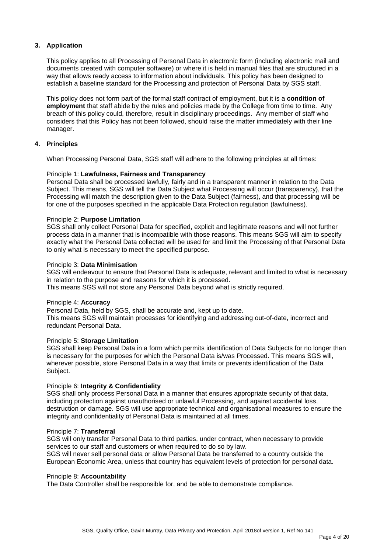#### **3. Application**

This policy applies to all Processing of Personal Data in electronic form (including electronic mail and documents created with computer software) or where it is held in manual files that are structured in a way that allows ready access to information about individuals. This policy has been designed to establish a baseline standard for the Processing and protection of Personal Data by SGS staff.

This policy does not form part of the formal staff contract of employment, but it is a **condition of employment** that staff abide by the rules and policies made by the College from time to time. Any breach of this policy could, therefore, result in disciplinary proceedings. Any member of staff who considers that this Policy has not been followed, should raise the matter immediately with their line manager.

#### **4. Principles**

When Processing Personal Data, SGS staff will adhere to the following principles at all times:

#### Principle 1: **Lawfulness, Fairness and Transparency**

Personal Data shall be processed lawfully, fairly and in a transparent manner in relation to the Data Subject. This means, SGS will tell the Data Subject what Processing will occur (transparency), that the Processing will match the description given to the Data Subject (fairness), and that processing will be for one of the purposes specified in the applicable Data Protection regulation (lawfulness).

#### Principle 2: **Purpose Limitation**

SGS shall only collect Personal Data for specified, explicit and legitimate reasons and will not further process data in a manner that is incompatible with those reasons. This means SGS will aim to specify exactly what the Personal Data collected will be used for and limit the Processing of that Personal Data to only what is necessary to meet the specified purpose.

#### Principle 3: **Data Minimisation**

SGS will endeavour to ensure that Personal Data is adequate, relevant and limited to what is necessary in relation to the purpose and reasons for which it is processed. This means SGS will not store any Personal Data beyond what is strictly required.

#### Principle 4: **Accuracy**

Personal Data, held by SGS, shall be accurate and, kept up to date. This means SGS will maintain processes for identifying and addressing out-of-date, incorrect and redundant Personal Data.

#### Principle 5: **Storage Limitation**

SGS shall keep Personal Data in a form which permits identification of Data Subjects for no longer than is necessary for the purposes for which the Personal Data is/was Processed. This means SGS will, wherever possible, store Personal Data in a way that limits or prevents identification of the Data Subject.

#### Principle 6: **Integrity & Confidentiality**

SGS shall only process Personal Data in a manner that ensures appropriate security of that data, including protection against unauthorised or unlawful Processing, and against accidental loss, destruction or damage. SGS will use appropriate technical and organisational measures to ensure the integrity and confidentiality of Personal Data is maintained at all times.

#### Principle 7: **Transferral**

SGS will only transfer Personal Data to third parties, under contract, when necessary to provide services to our staff and customers or when required to do so by law.

SGS will never sell personal data or allow Personal Data be transferred to a country outside the European Economic Area, unless that country has equivalent levels of protection for personal data.

#### Principle 8: **Accountability**

The Data Controller shall be responsible for, and be able to demonstrate compliance.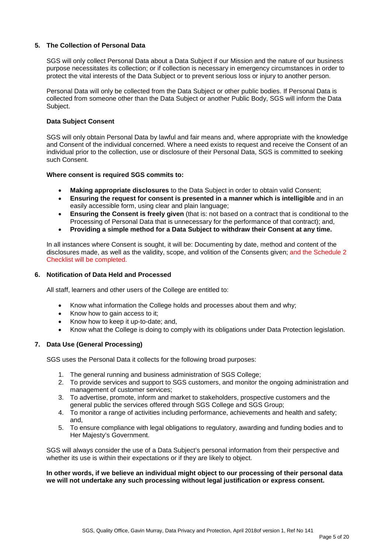#### **5. The Collection of Personal Data**

SGS will only collect Personal Data about a Data Subject if our Mission and the nature of our business purpose necessitates its collection; or if collection is necessary in emergency circumstances in order to protect the vital interests of the Data Subject or to prevent serious loss or injury to another person.

Personal Data will only be collected from the Data Subject or other public bodies. If Personal Data is collected from someone other than the Data Subject or another Public Body, SGS will inform the Data Subject.

#### **Data Subject Consent**

SGS will only obtain Personal Data by lawful and fair means and, where appropriate with the knowledge and Consent of the individual concerned. Where a need exists to request and receive the Consent of an individual prior to the collection, use or disclosure of their Personal Data, SGS is committed to seeking such Consent.

#### **Where consent is required SGS commits to:**

- **Making appropriate disclosures** to the Data Subject in order to obtain valid Consent;
- **Ensuring the request for consent is presented in a manner which is intelligible** and in an easily accessible form, using clear and plain language;
- **Ensuring the Consent is freely given** (that is: not based on a contract that is conditional to the Processing of Personal Data that is unnecessary for the performance of that contract); and,
- **Providing a simple method for a Data Subject to withdraw their Consent at any time.**

In all instances where Consent is sought, it will be: Documenting by date, method and content of the disclosures made, as well as the validity, scope, and volition of the Consents given; and the Schedule 2 Checklist will be completed.

#### **6. Notification of Data Held and Processed**

All staff, learners and other users of the College are entitled to:

- Know what information the College holds and processes about them and why;
- Know how to gain access to it:
- Know how to keep it up-to-date; and,
- Know what the College is doing to comply with its obligations under Data Protection legislation.

#### **7. Data Use (General Processing)**

SGS uses the Personal Data it collects for the following broad purposes:

- 1. The general running and business administration of SGS College;
- 2. To provide services and support to SGS customers, and monitor the ongoing administration and management of customer services;
- 3. To advertise, promote, inform and market to stakeholders, prospective customers and the general public the services offered through SGS College and SGS Group;
- 4. To monitor a range of activities including performance, achievements and health and safety; and,
- 5. To ensure compliance with legal obligations to regulatory, awarding and funding bodies and to Her Majesty's Government.

SGS will always consider the use of a Data Subject's personal information from their perspective and whether its use is within their expectations or if they are likely to object.

#### **In other words, if we believe an individual might object to our processing of their personal data we will not undertake any such processing without legal justification or express consent.**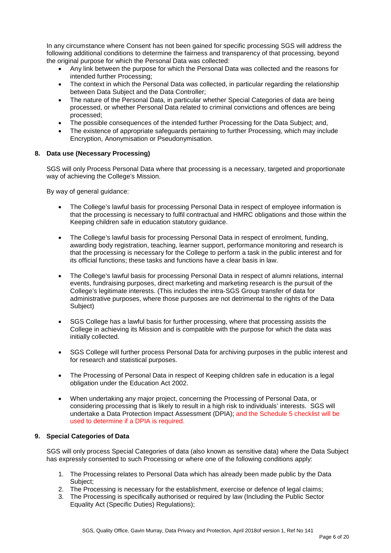In any circumstance where Consent has not been gained for specific processing SGS will address the following additional conditions to determine the fairness and transparency of that processing, beyond the original purpose for which the Personal Data was collected:

- Any link between the purpose for which the Personal Data was collected and the reasons for intended further Processing;
- The context in which the Personal Data was collected, in particular regarding the relationship between Data Subject and the Data Controller;
- The nature of the Personal Data, in particular whether Special Categories of data are being processed, or whether Personal Data related to criminal convictions and offences are being processed;
- The possible consequences of the intended further Processing for the Data Subject; and,
- The existence of appropriate safeguards pertaining to further Processing, which may include Encryption, Anonymisation or Pseudonymisation.

#### **8. Data use (Necessary Processing)**

SGS will only Process Personal Data where that processing is a necessary, targeted and proportionate way of achieving the College's Mission.

By way of general guidance:

- The College's lawful basis for processing Personal Data in respect of employee information is that the processing is necessary to fulfil contractual and HMRC obligations and those within the Keeping children safe in education statutory guidance.
- The College's lawful basis for processing Personal Data in respect of enrolment, funding, awarding body registration, teaching, learner support, performance monitoring and research is that the processing is necessary for the College to perform a task in the public interest and for its official functions; these tasks and functions have a clear basis in law.
- The College's lawful basis for processing Personal Data in respect of alumni relations, internal events, fundraising purposes, direct marketing and marketing research is the pursuit of the College's legitimate interests. (This includes the intra-SGS Group transfer of data for administrative purposes, where those purposes are not detrimental to the rights of the Data Subject)
- SGS College has a lawful basis for further processing, where that processing assists the College in achieving its Mission and is compatible with the purpose for which the data was initially collected.
- SGS College will further process Personal Data for archiving purposes in the public interest and for research and statistical purposes.
- The Processing of Personal Data in respect of Keeping children safe in education is a legal obligation under the Education Act 2002.
- When undertaking any major project, concerning the Processing of Personal Data, or considering processing that is likely to result in a high risk to individuals' interests. SGS will undertake a Data Protection Impact Assessment (DPIA); and the Schedule 5 checklist will be used to determine if a DPIA is required.

#### **9. Special Categories of Data**

SGS will only process Special Categories of data (also known as sensitive data) where the Data Subject has expressly consented to such Processing or where one of the following conditions apply:

- 1. The Processing relates to Personal Data which has already been made public by the Data Subject:
- 2. The Processing is necessary for the establishment, exercise or defence of legal claims;
- 3. The Processing is specifically authorised or required by law (Including the Public Sector Equality Act (Specific Duties) Regulations);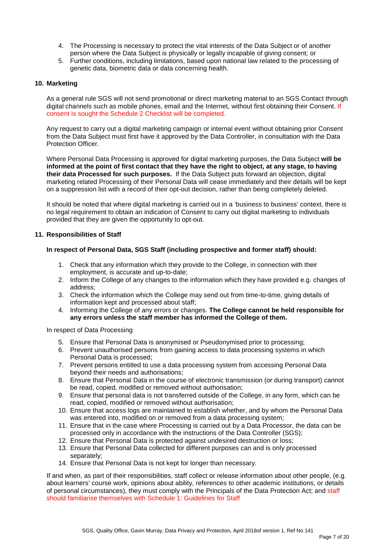- 4. The Processing is necessary to protect the vital interests of the Data Subject or of another person where the Data Subject is physically or legally incapable of giving consent; or
- 5. Further conditions, including limitations, based upon national law related to the processing of genetic data, biometric data or data concerning health.

#### **10. Marketing**

As a general rule SGS will not send promotional or direct marketing material to an SGS Contact through digital channels such as mobile phones, email and the Internet, without first obtaining their Consent. If consent is sought the Schedule 2 Checklist will be completed.

Any request to carry out a digital marketing campaign or internal event without obtaining prior Consent from the Data Subject must first have it approved by the Data Controller, in consultation with the Data Protection Officer.

Where Personal Data Processing is approved for digital marketing purposes, the Data Subject **will be informed at the point of first contact that they have the right to object, at any stage, to having their data Processed for such purposes.** If the Data Subject puts forward an objection, digital marketing related Processing of their Personal Data will cease immediately and their details will be kept on a suppression list with a record of their opt-out decision, rather than being completely deleted.

It should be noted that where digital marketing is carried out in a 'business to business' context, there is no legal requirement to obtain an indication of Consent to carry out digital marketing to individuals provided that they are given the opportunity to opt-out.

#### **11. Responsibilities of Staff**

#### **In respect of Personal Data, SGS Staff (including prospective and former staff) should:**

- 1. Check that any information which they provide to the College, in connection with their employment, is accurate and up-to-date;
- 2. Inform the College of any changes to the information which they have provided e.g. changes of address;
- 3. Check the information which the College may send out from time-to-time, giving details of information kept and processed about staff;
- 4. Informing the College of any errors or changes. **The College cannot be held responsible for any errors unless the staff member has informed the College of them.**

In respect of Data Processing

- 5. Ensure that Personal Data is anonymised or Pseudonymised prior to processing;
- 6. Prevent unauthorised persons from gaining access to data processing systems in which Personal Data is processed;
- 7. Prevent persons entitled to use a data processing system from accessing Personal Data beyond their needs and authorisations;
- 8. Ensure that Personal Data in the course of electronic transmission (or during transport) cannot be read, copied, modified or removed without authorisation;
- 9. Ensure that personal data is not transferred outside of the College, in any form, which can be read, copied, modified or removed without authorisation;
- 10. Ensure that access logs are maintained to establish whether, and by whom the Personal Data was entered into, modified on or removed from a data processing system;
- 11. Ensure that in the case where Processing is carried out by a Data Processor, the data can be processed only in accordance with the instructions of the Data Controller (SGS);
- 12. Ensure that Personal Data is protected against undesired destruction or loss;
- 13. Ensure that Personal Data collected for different purposes can and is only processed separately;
- 14. Ensure that Personal Data is not kept for longer than necessary.

If and when, as part of their responsibilities, staff collect or release information about other people, (e.g. about learners' course work, opinions about ability, references to other academic institutions, or details of personal circumstances), they must comply with the Principals of the Data Protection Act; and staff should familiarise themselves with Schedule 1: Guidelines for Staff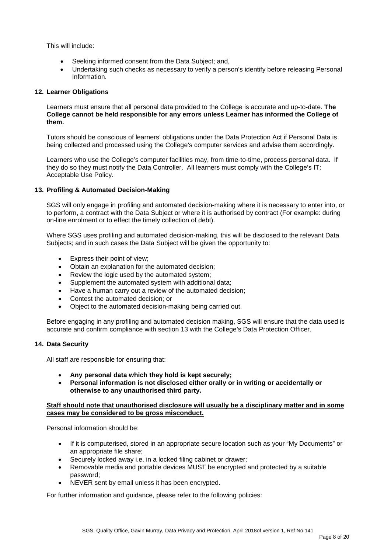This will include:

- Seeking informed consent from the Data Subject; and,
- Undertaking such checks as necessary to verify a person's identify before releasing Personal Information.

#### **12. Learner Obligations**

Learners must ensure that all personal data provided to the College is accurate and up-to-date. **The College cannot be held responsible for any errors unless Learner has informed the College of them.**

Tutors should be conscious of learners' obligations under the Data Protection Act if Personal Data is being collected and processed using the College's computer services and advise them accordingly.

Learners who use the College's computer facilities may, from time-to-time, process personal data. If they do so they must notify the Data Controller. All learners must comply with the College's IT: Acceptable Use Policy.

#### **13. Profiling & Automated Decision-Making**

SGS will only engage in profiling and automated decision-making where it is necessary to enter into, or to perform, a contract with the Data Subject or where it is authorised by contract (For example: during on-line enrolment or to effect the timely collection of debt).

Where SGS uses profiling and automated decision-making, this will be disclosed to the relevant Data Subjects; and in such cases the Data Subject will be given the opportunity to:

- Express their point of view;
- Obtain an explanation for the automated decision;
- Review the logic used by the automated system:
- Supplement the automated system with additional data;
- Have a human carry out a review of the automated decision;
- Contest the automated decision; or
- Object to the automated decision-making being carried out.

Before engaging in any profiling and automated decision making, SGS will ensure that the data used is accurate and confirm compliance with section 13 with the College's Data Protection Officer.

#### **14. Data Security**

All staff are responsible for ensuring that:

- **Any personal data which they hold is kept securely;**
- **Personal information is not disclosed either orally or in writing or accidentally or otherwise to any unauthorised third party.**

#### **Staff should note that unauthorised disclosure will usually be a disciplinary matter and in some cases may be considered to be gross misconduct.**

Personal information should be:

- If it is computerised, stored in an appropriate secure location such as your "My Documents" or an appropriate file share;
- Securely locked away i.e. in a locked filing cabinet or drawer;
- Removable media and portable devices MUST be encrypted and protected by a suitable password;
- NEVER sent by email unless it has been encrypted.

For further information and guidance, please refer to the following policies: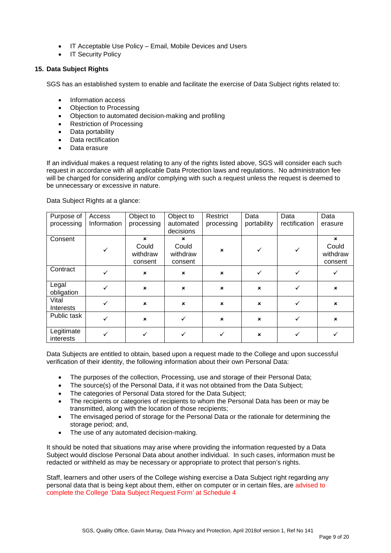- IT Acceptable Use Policy Email, Mobile Devices and Users
- IT Security Policy

#### **15. Data Subject Rights**

SGS has an established system to enable and facilitate the exercise of Data Subject rights related to:

- Information access
- Objection to Processing
- Objection to automated decision-making and profiling
- Restriction of Processing
- Data portability
- Data rectification
- Data erasure

If an individual makes a request relating to any of the rights listed above, SGS will consider each such request in accordance with all applicable Data Protection laws and regulations. No administration fee will be charged for considering and/or complying with such a request unless the request is deemed to be unnecessary or excessive in nature.

Data Subject Rights at a glance:

| Purpose of                | Access       | Object to                    | Object to                    | Restrict                  | Data                      | Data          | Data                         |
|---------------------------|--------------|------------------------------|------------------------------|---------------------------|---------------------------|---------------|------------------------------|
| processing                | Information  | processing                   | automated                    | processing                | portability               | rectification | erasure                      |
|                           |              |                              | decisions                    |                           |                           |               |                              |
| Consent                   |              | $\mathbf x$                  | $\mathbf x$                  |                           |                           |               | $\boldsymbol{\mathsf{x}}$    |
|                           | $\checkmark$ | Could<br>withdraw<br>consent | Could<br>withdraw<br>consent | $\mathbf x$               | ✓                         |               | Could<br>withdraw<br>consent |
| Contract                  | ✓            | $\pmb{\times}$               | $\boldsymbol{\mathsf{x}}$    | $\boldsymbol{\mathsf{x}}$ |                           |               |                              |
| Legal<br>obligation       | ✓            | $\pmb{\times}$               | $\pmb{\times}$               | $\boldsymbol{\mathsf{x}}$ | $\pmb{\times}$            | ✓             | $\pmb{\times}$               |
| Vital<br><b>Interests</b> | ✓            | $\pmb{\times}$               | $\boldsymbol{\mathsf{x}}$    | $\boldsymbol{\mathsf{x}}$ | $\pmb{\times}$            |               | $\pmb{\times}$               |
| Public task               | ✓            | $\pmb{\times}$               |                              | $\boldsymbol{\mathsf{x}}$ | $\boldsymbol{\mathsf{x}}$ |               | $\pmb{\times}$               |
| Legitimate<br>interests   | ✓            | ✓                            |                              | ✓                         | $\pmb{\times}$            |               |                              |

Data Subjects are entitled to obtain, based upon a request made to the College and upon successful verification of their identity, the following information about their own Personal Data:

- The purposes of the collection, Processing, use and storage of their Personal Data;
- The source(s) of the Personal Data, if it was not obtained from the Data Subject;
- The categories of Personal Data stored for the Data Subject;
- The recipients or categories of recipients to whom the Personal Data has been or may be transmitted, along with the location of those recipients;
- The envisaged period of storage for the Personal Data or the rationale for determining the storage period; and,
- The use of any automated decision-making.

It should be noted that situations may arise where providing the information requested by a Data Subject would disclose Personal Data about another individual. In such cases, information must be redacted or withheld as may be necessary or appropriate to protect that person's rights.

Staff, learners and other users of the College wishing exercise a Data Subject right regarding any personal data that is being kept about them, either on computer or in certain files, are advised to complete the College 'Data Subject Request Form' at Schedule 4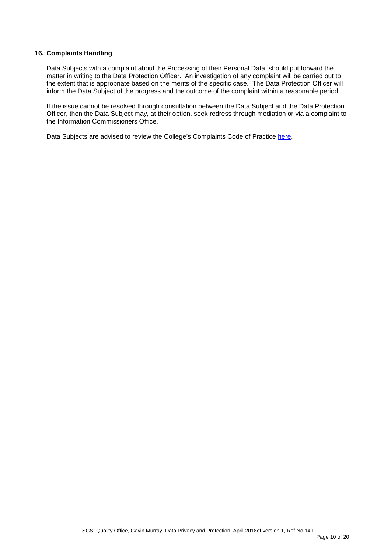#### **16. Complaints Handling**

Data Subjects with a complaint about the Processing of their Personal Data, should put forward the matter in writing to the Data Protection Officer. An investigation of any complaint will be carried out to the extent that is appropriate based on the merits of the specific case. The Data Protection Officer will inform the Data Subject of the progress and the outcome of the complaint within a reasonable period.

If the issue cannot be resolved through consultation between the Data Subject and the Data Protection Officer, then the Data Subject may, at their option, seek redress through mediation or via a complaint to the Information Commissioners Office.

Data Subjects are advised to review the College's Complaints Code of Practice [here.](http://www.sgscol.ac.uk/repository/documents/policies/Code_of_Practice_Compliments_Process.pdf)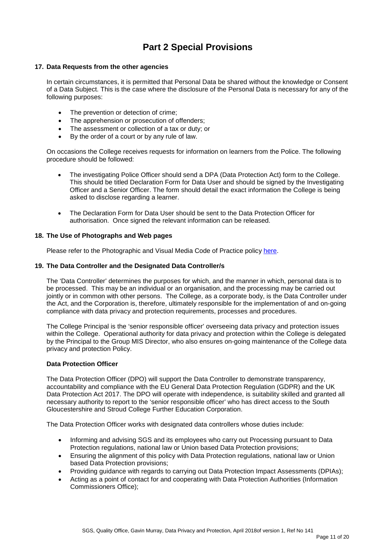# **Part 2 Special Provisions**

#### **17. Data Requests from the other agencies**

In certain circumstances, it is permitted that Personal Data be shared without the knowledge or Consent of a Data Subject. This is the case where the disclosure of the Personal Data is necessary for any of the following purposes:

- The prevention or detection of crime:
- The apprehension or prosecution of offenders;
- The assessment or collection of a tax or duty; or
- By the order of a court or by any rule of law.

On occasions the College receives requests for information on learners from the Police. The following procedure should be followed:

- The investigating Police Officer should send a DPA (Data Protection Act) form to the College. This should be titled Declaration Form for Data User and should be signed by the Investigating Officer and a Senior Officer. The form should detail the exact information the College is being asked to disclose regarding a learner.
- The Declaration Form for Data User should be sent to the Data Protection Officer for authorisation. Once signed the relevant information can be released.

#### **18. The Use of Photographs and Web pages**

Please refer to the Photographic and Visual Media Code of Practice policy [here.](https://sgscol.sharepoint.com/:w:/r/sites/staff/DataHub/_layouts/15/WopiFrame.aspx?sourcedoc=%7B2DBE3F16-52D4-46C9-B761-CE1D38480D28%7D&file=Photographic%20and%20Visual%20Media%20Policy,%20Code%20of%20Practice%20and%20Procedures.docx&action=default&DefaultItemOpen=1)

#### **19. The Data Controller and the Designated Data Controller/s**

The 'Data Controller' determines the purposes for which, and the manner in which, personal data is to be processed. This may be an individual or an organisation, and the processing may be carried out jointly or in common with other persons. The College, as a corporate body, is the Data Controller under the Act, and the Corporation is, therefore, ultimately responsible for the implementation of and on-going compliance with data privacy and protection requirements, processes and procedures.

The College Principal is the 'senior responsible officer' overseeing data privacy and protection issues within the College. Operational authority for data privacy and protection within the College is delegated by the Principal to the Group MIS Director, who also ensures on-going maintenance of the College data privacy and protection Policy.

#### **Data Protection Officer**

The Data Protection Officer (DPO) will support the Data Controller to demonstrate transparency, accountability and compliance with the EU General Data Protection Regulation (GDPR) and the UK Data Protection Act 2017. The DPO will operate with independence, is suitability skilled and granted all necessary authority to report to the 'senior responsible officer' who has direct access to the South Gloucestershire and Stroud College Further Education Corporation.

The Data Protection Officer works with designated data controllers whose duties include:

- Informing and advising SGS and its employees who carry out Processing pursuant to Data Protection regulations, national law or Union based Data Protection provisions;
- Ensuring the alignment of this policy with Data Protection regulations, national law or Union based Data Protection provisions;
- Providing guidance with regards to carrying out Data Protection Impact Assessments (DPIAs);
- Acting as a point of contact for and cooperating with Data Protection Authorities (Information Commissioners Office);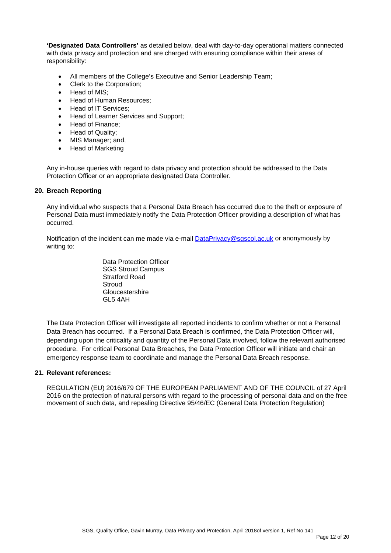**'Designated Data Controllers'** as detailed below, deal with day-to-day operational matters connected with data privacy and protection and are charged with ensuring compliance within their areas of responsibility:

- All members of the College's Executive and Senior Leadership Team;
- Clerk to the Corporation;
- Head of MIS;
- Head of Human Resources:
- Head of IT Services;
- Head of Learner Services and Support;
- Head of Finance;
- Head of Quality;
- MIS Manager; and,
- Head of Marketing

Any in-house queries with regard to data privacy and protection should be addressed to the Data Protection Officer or an appropriate designated Data Controller.

#### **20. Breach Reporting**

Any individual who suspects that a Personal Data Breach has occurred due to the theft or exposure of Personal Data must immediately notify the Data Protection Officer providing a description of what has occurred.

Notification of the incident can me made via e-mail [DataPrivacy@sgscol.ac.uk](mailto:DataPrivacy@sgscol.ac.uk) or anonymously by writing to:

> Data Protection Officer SGS Stroud Campus Stratford Road **Stroud Gloucestershire** GL5 4AH

The Data Protection Officer will investigate all reported incidents to confirm whether or not a Personal Data Breach has occurred. If a Personal Data Breach is confirmed, the Data Protection Officer will, depending upon the criticality and quantity of the Personal Data involved, follow the relevant authorised procedure. For critical Personal Data Breaches, the Data Protection Officer will initiate and chair an emergency response team to coordinate and manage the Personal Data Breach response.

#### **21. Relevant references:**

REGULATION (EU) 2016/679 OF THE EUROPEAN PARLIAMENT AND OF THE COUNCIL of 27 April 2016 on the protection of natural persons with regard to the processing of personal data and on the free movement of such data, and repealing Directive 95/46/EC (General Data Protection Regulation)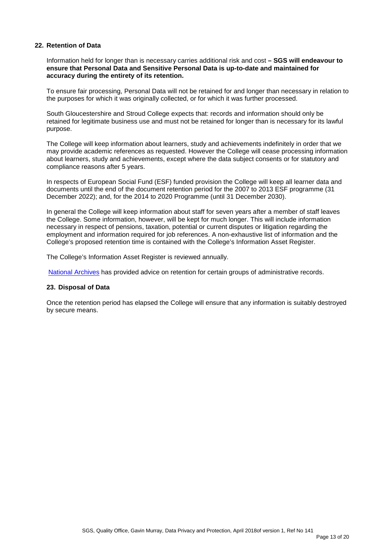#### **22. Retention of Data**

Information held for longer than is necessary carries additional risk and cost **– SGS will endeavour to ensure that Personal Data and Sensitive Personal Data is up-to-date and maintained for accuracy during the entirety of its retention.** 

To ensure fair processing, Personal Data will not be retained for and longer than necessary in relation to the purposes for which it was originally collected, or for which it was further processed.

South Gloucestershire and Stroud College expects that: records and information should only be retained for legitimate business use and must not be retained for longer than is necessary for its lawful purpose.

The College will keep information about learners, study and achievements indefinitely in order that we may provide academic references as requested. However the College will cease processing information about learners, study and achievements, except where the data subject consents or for statutory and compliance reasons after 5 years.

In respects of European Social Fund (ESF) funded provision the College will keep all learner data and documents until the end of the document retention period for the 2007 to 2013 ESF programme (31 December 2022); and, for the 2014 to 2020 Programme (until 31 December 2030).

In general the College will keep information about staff for seven years after a member of staff leaves the College. Some information, however, will be kept for much longer. This will include information necessary in respect of pensions, taxation, potential or current disputes or litigation regarding the employment and information required for job references. A non-exhaustive list of information and the College's proposed retention time is contained with the College's Information Asset Register.

The College's Information Asset Register is reviewed annually.

[National Archives](http://www.nationalarchives.gov.uk/information-management/manage-information/policy-process/disposal/advice-on-retention/) has provided advice on retention for certain groups of administrative records.

#### **23. Disposal of Data**

Once the retention period has elapsed the College will ensure that any information is suitably destroyed by secure means.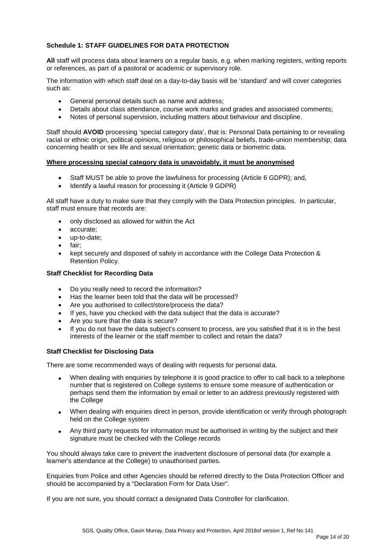#### **Schedule 1: STAFF GUIDELINES FOR DATA PROTECTION**

**All** staff will process data about learners on a regular basis, e.g. when marking registers, writing reports or references, as part of a pastoral or academic or supervisory role.

The information with which staff deal on a day-to-day basis will be 'standard' and will cover categories such as:

- General personal details such as name and address;
- Details about class attendance, course work marks and grades and associated comments;
- Notes of personal supervision, including matters about behaviour and discipline.

Staff should **AVOID** processing 'special category data', that is: Personal Data pertaining to or revealing racial or ethnic origin, political opinions, religious or philosophical beliefs, trade-union membership; data concerning health or sex life and sexual orientation; genetic data or biometric data.

#### **Where processing special category data is unavoidably, it must be anonymised**

- Staff MUST be able to prove the lawfulness for processing (Article 6 GDPR); and,
- Identify a lawful reason for processing it (Article 9 GDPR)

All staff have a duty to make sure that they comply with the Data Protection principles. In particular, staff must ensure that records are:

- only disclosed as allowed for within the Act
- accurate;
- up-to-date;
- fair;
- kept securely and disposed of safely in accordance with the College Data Protection & Retention Policy.

#### **Staff Checklist for Recording Data**

- Do you really need to record the information?
- Has the learner been told that the data will be processed?
- Are you authorised to collect/store/process the data?
- If yes, have you checked with the data subject that the data is accurate?
- Are you sure that the data is secure?
- If you do not have the data subject's consent to process, are you satisfied that it is in the best interests of the learner or the staff member to collect and retain the data?

#### **Staff Checklist for Disclosing Data**

There are some recommended ways of dealing with requests for personal data.

- When dealing with enquiries by telephone it is good practice to offer to call back to a telephone number that is registered on College systems to ensure some measure of authentication or perhaps send them the information by email or letter to an address previously registered with the College
- When dealing with enquiries direct in person, provide identification or verify through photograph held on the College system
- Any third party requests for information must be authorised in writing by the subject and their signature must be checked with the College records

You should always take care to prevent the inadvertent disclosure of personal data (for example a learner's attendance at the College) to unauthorised parties.

Enquiries from Police and other Agencies should be referred directly to the Data Protection Officer and should be accompanied by a "Declaration Form for Data User".

If you are not sure, you should contact a designated Data Controller for clarification.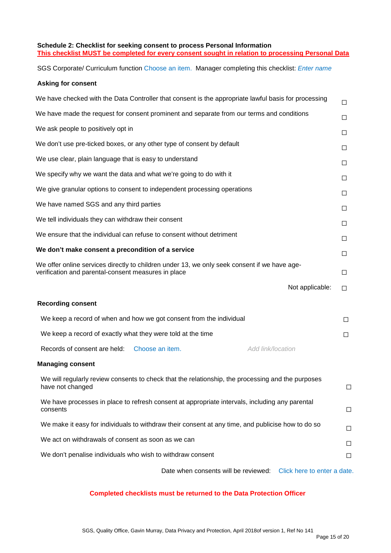#### **Schedule 2: Checklist for seeking consent to process Personal Information This checklist MUST be completed for every consent sought in relation to processing Personal Data**

SGS Corporate/ Curriculum function Choose an item. Manager completing this checklist: *Enter name*

#### **Asking for consent**

| We have checked with the Data Controller that consent is the appropriate lawful basis for processing                                                | $\Box$ |
|-----------------------------------------------------------------------------------------------------------------------------------------------------|--------|
| We have made the request for consent prominent and separate from our terms and conditions                                                           | □      |
| We ask people to positively opt in                                                                                                                  | □      |
| We don't use pre-ticked boxes, or any other type of consent by default                                                                              | □      |
| We use clear, plain language that is easy to understand                                                                                             | □      |
| We specify why we want the data and what we're going to do with it                                                                                  | □      |
| We give granular options to consent to independent processing operations                                                                            | □      |
| We have named SGS and any third parties                                                                                                             | □      |
| We tell individuals they can withdraw their consent                                                                                                 | □      |
| We ensure that the individual can refuse to consent without detriment                                                                               | □      |
| We don't make consent a precondition of a service                                                                                                   | □      |
| We offer online services directly to children under 13, we only seek consent if we have age-<br>verification and parental-consent measures in place | □      |
| Not applicable:                                                                                                                                     | □      |
| <b>Recording consent</b>                                                                                                                            |        |
| We keep a record of when and how we got consent from the individual                                                                                 | □      |
| We keep a record of exactly what they were told at the time                                                                                         | □      |
| Add link/location<br>Records of consent are held:<br>Choose an item.                                                                                |        |
| <b>Managing consent</b>                                                                                                                             |        |
| We will regularly review consents to check that the relationship, the processing and the purposes<br>have not changed                               | $\Box$ |
| We have processes in place to refresh consent at appropriate intervals, including any parental<br>consents                                          | $\Box$ |
| We make it easy for individuals to withdraw their consent at any time, and publicise how to do so                                                   | $\Box$ |
| We act on withdrawals of consent as soon as we can                                                                                                  | □      |
| We don't penalise individuals who wish to withdraw consent                                                                                          | □      |
|                                                                                                                                                     |        |

#### **Completed checklists must be returned to the Data Protection Officer**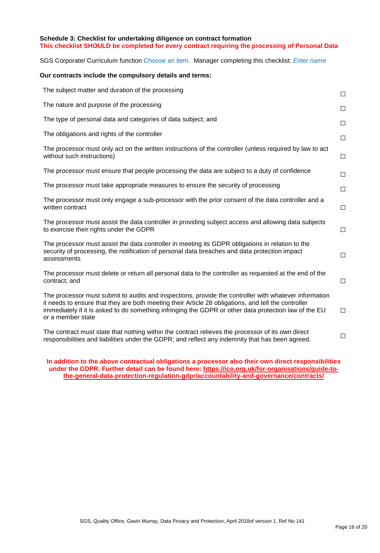#### **Schedule 3: Checklist for undertaking diligence on contract formation This checklist SHOULD be completed for every contract requiring the processing of Personal Data**

SGS Corporate/ Curriculum function Choose an item. Manager completing this checklist: *Enter name*

#### **Our contracts include the compulsory details and terms:**

| The subject matter and duration of the processing                                                                                                                                                                                                                                                                                          | $\Box$ |
|--------------------------------------------------------------------------------------------------------------------------------------------------------------------------------------------------------------------------------------------------------------------------------------------------------------------------------------------|--------|
| The nature and purpose of the processing                                                                                                                                                                                                                                                                                                   | $\Box$ |
| The type of personal data and categories of data subject; and                                                                                                                                                                                                                                                                              | $\Box$ |
| The obligations and rights of the controller                                                                                                                                                                                                                                                                                               | $\Box$ |
| The processor must only act on the written instructions of the controller (unless required by law to act<br>without such instructions)                                                                                                                                                                                                     | $\Box$ |
| The processor must ensure that people processing the data are subject to a duty of confidence                                                                                                                                                                                                                                              | $\Box$ |
| The processor must take appropriate measures to ensure the security of processing                                                                                                                                                                                                                                                          | $\Box$ |
| The processor must only engage a sub-processor with the prior consent of the data controller and a<br>written contract                                                                                                                                                                                                                     | $\Box$ |
| The processor must assist the data controller in providing subject access and allowing data subjects<br>to exercise their rights under the GDPR                                                                                                                                                                                            | $\Box$ |
| The processor must assist the data controller in meeting its GDPR obligations in relation to the<br>security of processing, the notification of personal data breaches and data protection impact<br>assessments                                                                                                                           | $\Box$ |
| The processor must delete or return all personal data to the controller as requested at the end of the<br>contract; and                                                                                                                                                                                                                    | $\Box$ |
| The processor must submit to audits and inspections, provide the controller with whatever information<br>it needs to ensure that they are both meeting their Article 28 obligations, and tell the controller<br>immediately if it is asked to do something infringing the GDPR or other data protection law of the EU<br>or a member state | $\Box$ |
| The contract must state that nothing within the contract relieves the processor of its own direct<br>responsibilities and liabilities under the GDPR; and reflect any indemnity that has been agreed.                                                                                                                                      | □      |

**In addition to the above contractual obligations a processor also their own direct responsibilities under the GDPR. Further detail can be found here: [https://ico.org.uk/for-organisations/guide-to](https://ico.org.uk/for-organisations/guide-to-the-general-data-protection-regulation-gdpr/accountability-and-governance/contracts/)[the-general-data-protection-regulation-gdpr/accountability-and-governance/contracts/](https://ico.org.uk/for-organisations/guide-to-the-general-data-protection-regulation-gdpr/accountability-and-governance/contracts/)**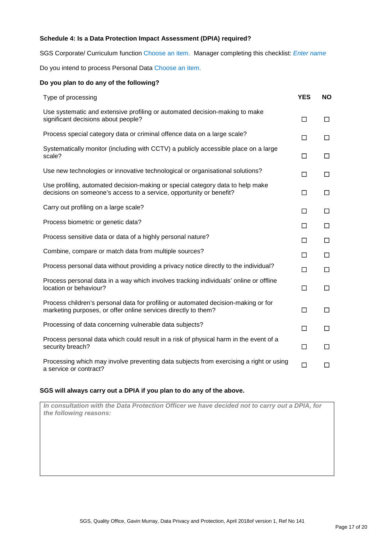#### **Schedule 4: Is a Data Protection Impact Assessment (DPIA) required?**

SGS Corporate/ Curriculum function Choose an item. Manager completing this checklist: *Enter name*

Do you intend to process Personal Data Choose an item.

| Do you plan to do any of the following?                                                                                                               |            |           |
|-------------------------------------------------------------------------------------------------------------------------------------------------------|------------|-----------|
| Type of processing                                                                                                                                    | <b>YES</b> | <b>NO</b> |
| Use systematic and extensive profiling or automated decision-making to make<br>significant decisions about people?                                    | $\Box$     | □         |
| Process special category data or criminal offence data on a large scale?                                                                              | □          | □         |
| Systematically monitor (including with CCTV) a publicly accessible place on a large<br>scale?                                                         | $\Box$     | □         |
| Use new technologies or innovative technological or organisational solutions?                                                                         | $\Box$     | □         |
| Use profiling, automated decision-making or special category data to help make<br>decisions on someone's access to a service, opportunity or benefit? | □          | $\Box$    |
| Carry out profiling on a large scale?                                                                                                                 | $\Box$     | □         |
| Process biometric or genetic data?                                                                                                                    | □          | □         |
| Process sensitive data or data of a highly personal nature?                                                                                           | □          | □         |
| Combine, compare or match data from multiple sources?                                                                                                 | □          | $\Box$    |
| Process personal data without providing a privacy notice directly to the individual?                                                                  | $\Box$     | □         |
| Process personal data in a way which involves tracking individuals' online or offline<br>location or behaviour?                                       | $\Box$     | $\Box$    |
| Process children's personal data for profiling or automated decision-making or for<br>marketing purposes, or offer online services directly to them?  | $\Box$     | $\Box$    |
| Processing of data concerning vulnerable data subjects?                                                                                               | П          | □         |
| Process personal data which could result in a risk of physical harm in the event of a<br>security breach?                                             | $\Box$     | □         |
| Processing which may involve preventing data subjects from exercising a right or using<br>a service or contract?                                      | $\Box$     | □         |

#### **SGS will always carry out a DPIA if you plan to do any of the above.**

*In consultation with the Data Protection Officer we have decided not to carry out a DPIA, for the following reasons:*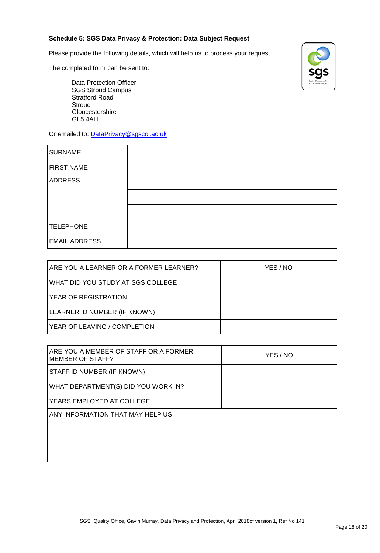#### **Schedule 5: SGS Data Privacy & Protection: Data Subject Request**

Please provide the following details, which will help us to process your request.

The completed form can be sent to:

Data Protection Officer SGS Stroud Campus Stratford Road Stroud Gloucestershire GL5 4AH

Or emailed to: [DataPrivacy@sgscol.ac.uk](mailto:DataPrivacy@sgscol.ac.uk)

| <b>SURNAME</b>       |  |
|----------------------|--|
| <b>FIRST NAME</b>    |  |
| <b>ADDRESS</b>       |  |
|                      |  |
|                      |  |
| <b>TELEPHONE</b>     |  |
| <b>EMAIL ADDRESS</b> |  |

| ARE YOU A LEARNER OR A FORMER LEARNER? | YES / NO |
|----------------------------------------|----------|
| WHAT DID YOU STUDY AT SGS COLLEGE      |          |
| YEAR OF REGISTRATION                   |          |
| LEARNER ID NUMBER (IF KNOWN)           |          |
| YEAR OF LEAVING / COMPLETION           |          |

| ARE YOU A MEMBER OF STAFF OR A FORMER<br><b>MEMBER OF STAFF?</b> | YES / NO |
|------------------------------------------------------------------|----------|
| STAFF ID NUMBER (IF KNOWN)                                       |          |
| WHAT DEPARTMENT(S) DID YOU WORK IN?                              |          |
| YEARS EMPLOYED AT COLLEGE                                        |          |
| ANY INFORMATION THAT MAY HELP US                                 |          |
|                                                                  |          |
|                                                                  |          |
|                                                                  |          |